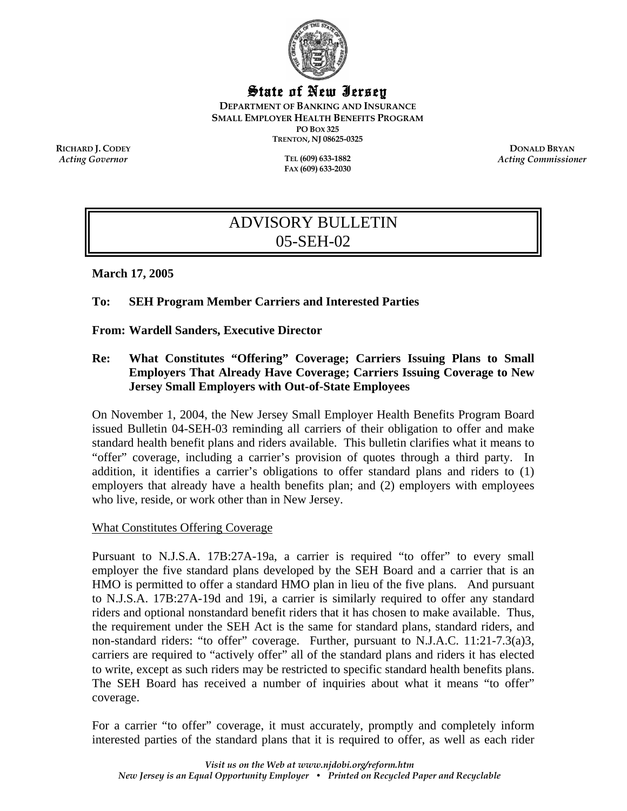

## State of New Jersey

**DEPARTMENT OF BANKING AND INSURANCE SMALL EMPLOYER HEALTH BENEFITS PROGRAM PO BOX 325 TRENTON, NJ 08625-0325** 

 $Acting Government$ 

**FAX (609) 633-2030** 

**RICHARD J. CODEY DONALD BRYAN**<br> **RICHARD J. CODEY DONALD BRYAN**<br> **Recting Governor DONALD BRYAN** *Acting Commissioner* 

# ADVISORY BULLETIN 05-SEH-02

**March 17, 2005** 

## **To: SEH Program Member Carriers and Interested Parties**

**From: Wardell Sanders, Executive Director** 

## **Re: What Constitutes "Offering" Coverage; Carriers Issuing Plans to Small Employers That Already Have Coverage; Carriers Issuing Coverage to New Jersey Small Employers with Out-of-State Employees**

On November 1, 2004, the New Jersey Small Employer Health Benefits Program Board issued Bulletin 04-SEH-03 reminding all carriers of their obligation to offer and make standard health benefit plans and riders available. This bulletin clarifies what it means to "offer" coverage, including a carrier's provision of quotes through a third party. In addition, it identifies a carrier's obligations to offer standard plans and riders to (1) employers that already have a health benefits plan; and (2) employers with employees who live, reside, or work other than in New Jersey.

### What Constitutes Offering Coverage

Pursuant to N.J.S.A. 17B:27A-19a, a carrier is required "to offer" to every small employer the five standard plans developed by the SEH Board and a carrier that is an HMO is permitted to offer a standard HMO plan in lieu of the five plans. And pursuant to N.J.S.A. 17B:27A-19d and 19i, a carrier is similarly required to offer any standard riders and optional nonstandard benefit riders that it has chosen to make available. Thus, the requirement under the SEH Act is the same for standard plans, standard riders, and non-standard riders: "to offer" coverage. Further, pursuant to N.J.A.C. 11:21-7.3(a)3, carriers are required to "actively offer" all of the standard plans and riders it has elected to write, except as such riders may be restricted to specific standard health benefits plans. The SEH Board has received a number of inquiries about what it means "to offer" coverage.

For a carrier "to offer" coverage, it must accurately, promptly and completely inform interested parties of the standard plans that it is required to offer, as well as each rider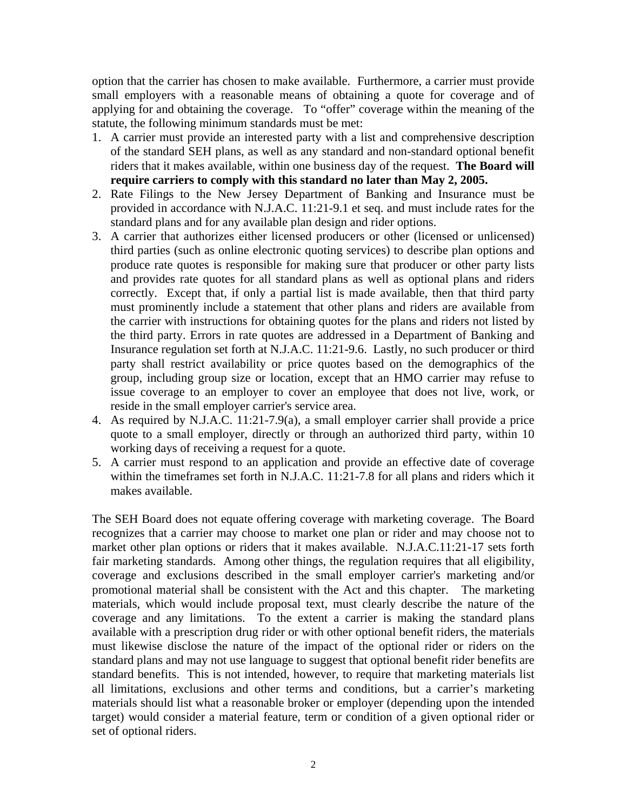option that the carrier has chosen to make available. Furthermore, a carrier must provide small employers with a reasonable means of obtaining a quote for coverage and of applying for and obtaining the coverage. To "offer" coverage within the meaning of the statute, the following minimum standards must be met:

- 1. A carrier must provide an interested party with a list and comprehensive description of the standard SEH plans, as well as any standard and non-standard optional benefit riders that it makes available, within one business day of the request. **The Board will require carriers to comply with this standard no later than May 2, 2005.**
- 2. Rate Filings to the New Jersey Department of Banking and Insurance must be provided in accordance with N.J.A.C. 11:21-9.1 et seq. and must include rates for the standard plans and for any available plan design and rider options.
- 3. A carrier that authorizes either licensed producers or other (licensed or unlicensed) third parties (such as online electronic quoting services) to describe plan options and produce rate quotes is responsible for making sure that producer or other party lists and provides rate quotes for all standard plans as well as optional plans and riders correctly. Except that, if only a partial list is made available, then that third party must prominently include a statement that other plans and riders are available from the carrier with instructions for obtaining quotes for the plans and riders not listed by the third party. Errors in rate quotes are addressed in a Department of Banking and Insurance regulation set forth at N.J.A.C. 11:21-9.6. Lastly, no such producer or third party shall restrict availability or price quotes based on the demographics of the group, including group size or location, except that an HMO carrier may refuse to issue coverage to an employer to cover an employee that does not live, work, or reside in the small employer carrier's service area.
- 4. As required by N.J.A.C. 11:21-7.9(a), a small employer carrier shall provide a price quote to a small employer, directly or through an authorized third party, within 10 working days of receiving a request for a quote.
- 5. A carrier must respond to an application and provide an effective date of coverage within the timeframes set forth in N.J.A.C. 11:21-7.8 for all plans and riders which it makes available.

The SEH Board does not equate offering coverage with marketing coverage. The Board recognizes that a carrier may choose to market one plan or rider and may choose not to market other plan options or riders that it makes available. N.J.A.C.11:21-17 sets forth fair marketing standards. Among other things, the regulation requires that all eligibility, coverage and exclusions described in the small employer carrier's marketing and/or promotional material shall be consistent with the Act and this chapter. The marketing materials, which would include proposal text, must clearly describe the nature of the coverage and any limitations. To the extent a carrier is making the standard plans available with a prescription drug rider or with other optional benefit riders, the materials must likewise disclose the nature of the impact of the optional rider or riders on the standard plans and may not use language to suggest that optional benefit rider benefits are standard benefits. This is not intended, however, to require that marketing materials list all limitations, exclusions and other terms and conditions, but a carrier's marketing materials should list what a reasonable broker or employer (depending upon the intended target) would consider a material feature, term or condition of a given optional rider or set of optional riders.